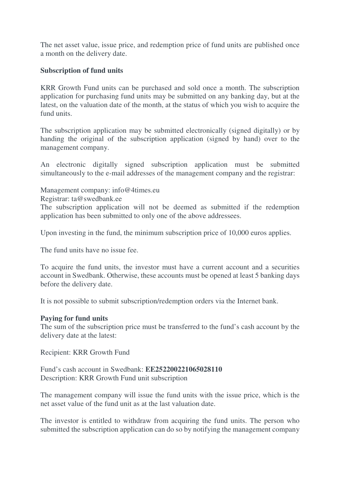The net asset value, issue price, and redemption price of fund units are published once a month on the delivery date.

## **Subscription of fund units**

KRR Growth Fund units can be purchased and sold once a month. The subscription application for purchasing fund units may be submitted on any banking day, but at the latest, on the valuation date of the month, at the status of which you wish to acquire the fund units.

The subscription application may be submitted electronically (signed digitally) or by handing the original of the subscription application (signed by hand) over to the management company.

An electronic digitally signed subscription application must be submitted simultaneously to the e-mail addresses of the management company and the registrar:

Management company: info@4times.eu

Registrar: ta@swedbank.ee

The subscription application will not be deemed as submitted if the redemption application has been submitted to only one of the above addressees.

Upon investing in the fund, the minimum subscription price of 10,000 euros applies.

The fund units have no issue fee.

To acquire the fund units, the investor must have a current account and a securities account in Swedbank. Otherwise, these accounts must be opened at least 5 banking days before the delivery date.

It is not possible to submit subscription/redemption orders via the Internet bank.

## **Paying for fund units**

The sum of the subscription price must be transferred to the fund's cash account by the delivery date at the latest:

Recipient: KRR Growth Fund

Fund's cash account in Swedbank: **EE252200221065028110**  Description: KRR Growth Fund unit subscription

The management company will issue the fund units with the issue price, which is the net asset value of the fund unit as at the last valuation date.

The investor is entitled to withdraw from acquiring the fund units. The person who submitted the subscription application can do so by notifying the management company